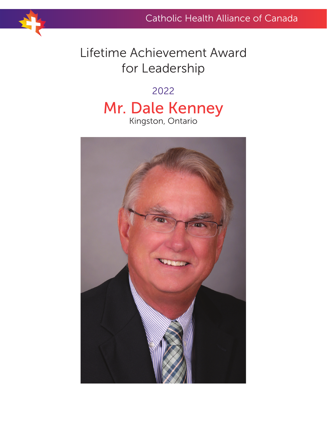## Lifetime Achievement Award for Leadership

## 2022 Mr. Dale Kenney Kingston, Ontario